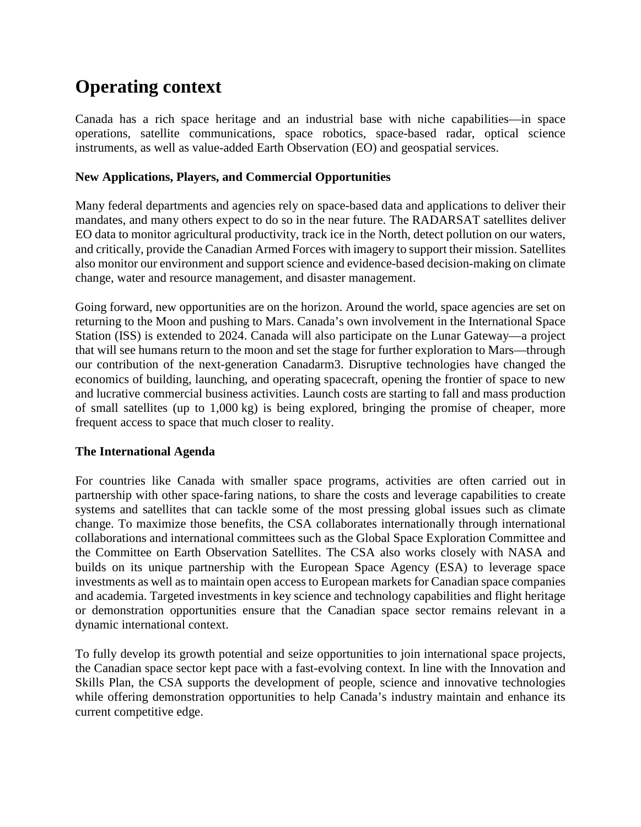# **Operating context**

Canada has a rich space heritage and an industrial base with niche capabilities—in space operations, satellite communications, space robotics, space-based radar, optical science instruments, as well as value-added Earth Observation (EO) and geospatial services.

#### **New Applications, Players, and Commercial Opportunities**

Many federal departments and agencies rely on space-based data and applications to deliver their mandates, and many others expect to do so in the near future. The RADARSAT satellites deliver EO data to monitor agricultural productivity, track ice in the North, detect pollution on our waters, and critically, provide the Canadian Armed Forces with imagery to support their mission. Satellites also monitor our environment and support science and evidence-based decision-making on climate change, water and resource management, and disaster management.

Going forward, new opportunities are on the horizon. Around the world, space agencies are set on returning to the Moon and pushing to Mars. Canada's own involvement in the International Space Station (ISS) is extended to 2024. Canada will also participate on the Lunar Gateway—a project that will see humans return to the moon and set the stage for further exploration to Mars—through our contribution of the next-generation Canadarm3. Disruptive technologies have changed the economics of building, launching, and operating spacecraft, opening the frontier of space to new and lucrative commercial business activities. Launch costs are starting to fall and mass production of small satellites (up to 1,000 kg) is being explored, bringing the promise of cheaper, more frequent access to space that much closer to reality.

#### **The International Agenda**

For countries like Canada with smaller space programs, activities are often carried out in partnership with other space-faring nations, to share the costs and leverage capabilities to create systems and satellites that can tackle some of the most pressing global issues such as climate change. To maximize those benefits, the CSA collaborates internationally through international collaborations and international committees such as the Global Space Exploration Committee and the Committee on Earth Observation Satellites. The CSA also works closely with NASA and builds on its unique partnership with the European Space Agency (ESA) to leverage space investments as well as to maintain open access to European markets for Canadian space companies and academia. Targeted investments in key science and technology capabilities and flight heritage or demonstration opportunities ensure that the Canadian space sector remains relevant in a dynamic international context.

To fully develop its growth potential and seize opportunities to join international space projects, the Canadian space sector kept pace with a fast-evolving context. In line with the Innovation and Skills Plan, the CSA supports the development of people, science and innovative technologies while offering demonstration opportunities to help Canada's industry maintain and enhance its current competitive edge.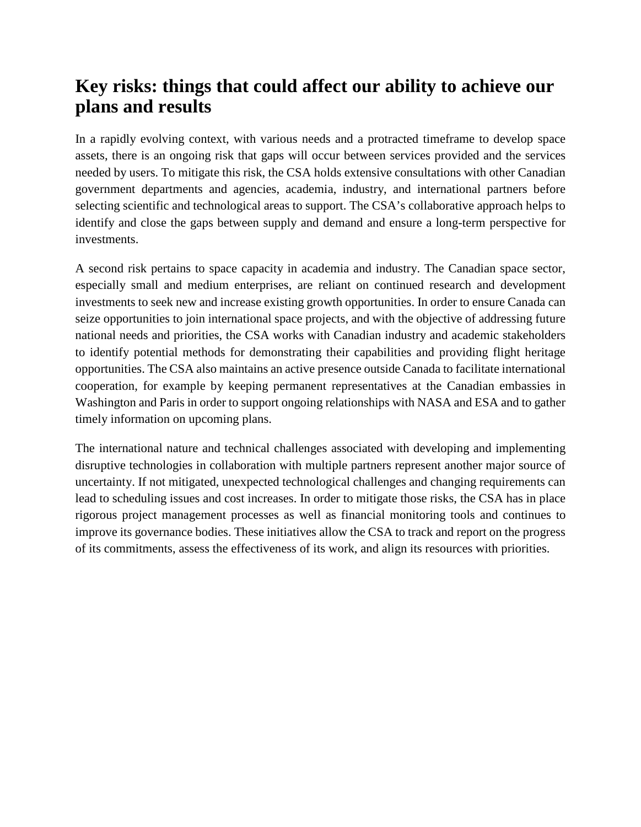## **Key risks: things that could affect our ability to achieve our plans and results**

In a rapidly evolving context, with various needs and a protracted timeframe to develop space assets, there is an ongoing risk that gaps will occur between services provided and the services needed by users. To mitigate this risk, the CSA holds extensive consultations with other Canadian government departments and agencies, academia, industry, and international partners before selecting scientific and technological areas to support. The CSA's collaborative approach helps to identify and close the gaps between supply and demand and ensure a long-term perspective for investments.

A second risk pertains to space capacity in academia and industry. The Canadian space sector, especially small and medium enterprises, are reliant on continued research and development investments to seek new and increase existing growth opportunities. In order to ensure Canada can seize opportunities to join international space projects, and with the objective of addressing future national needs and priorities, the CSA works with Canadian industry and academic stakeholders to identify potential methods for demonstrating their capabilities and providing flight heritage opportunities. The CSA also maintains an active presence outside Canada to facilitate international cooperation, for example by keeping permanent representatives at the Canadian embassies in Washington and Paris in order to support ongoing relationships with NASA and ESA and to gather timely information on upcoming plans.

The international nature and technical challenges associated with developing and implementing disruptive technologies in collaboration with multiple partners represent another major source of uncertainty. If not mitigated, unexpected technological challenges and changing requirements can lead to scheduling issues and cost increases. In order to mitigate those risks, the CSA has in place rigorous project management processes as well as financial monitoring tools and continues to improve its governance bodies. These initiatives allow the CSA to track and report on the progress of its commitments, assess the effectiveness of its work, and align its resources with priorities.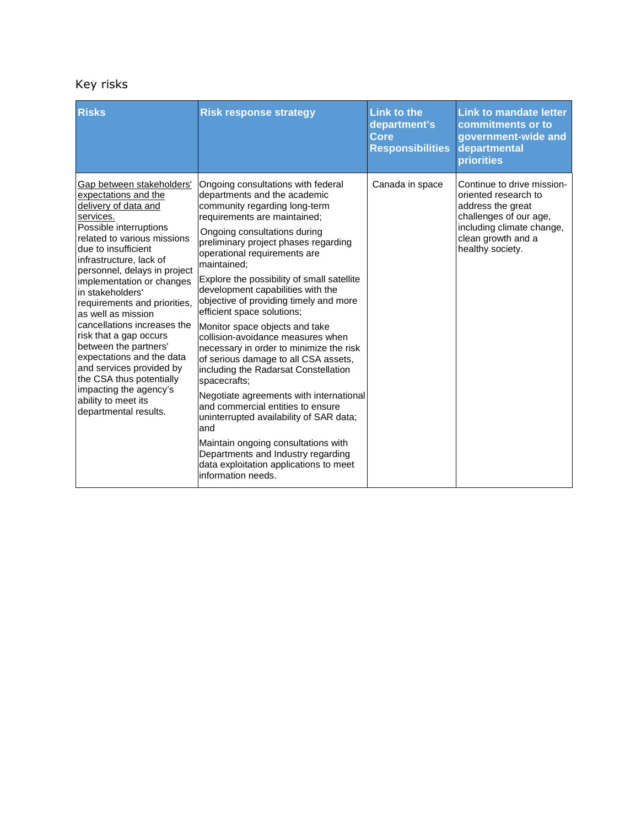### Key risks

| <b>Risks</b>                                                                                                                                                                                                                                                                                                                                                                                                                                                                                                                                                                              | <b>Risk response strategy</b>                                                                                                                                                                                                                                                                                                                                                                                                                                                                                                                                                                                                                                                                                                                                                                                                                                                                                          | <b>Link to the</b><br>department's<br>Core<br><b>Responsibilities</b> | <b>Link to mandate letter</b><br>commitments or to<br>government-wide and<br>departmental<br>priorities                                                                  |
|-------------------------------------------------------------------------------------------------------------------------------------------------------------------------------------------------------------------------------------------------------------------------------------------------------------------------------------------------------------------------------------------------------------------------------------------------------------------------------------------------------------------------------------------------------------------------------------------|------------------------------------------------------------------------------------------------------------------------------------------------------------------------------------------------------------------------------------------------------------------------------------------------------------------------------------------------------------------------------------------------------------------------------------------------------------------------------------------------------------------------------------------------------------------------------------------------------------------------------------------------------------------------------------------------------------------------------------------------------------------------------------------------------------------------------------------------------------------------------------------------------------------------|-----------------------------------------------------------------------|--------------------------------------------------------------------------------------------------------------------------------------------------------------------------|
| Gap between stakeholders'<br>expectations and the<br>delivery of data and<br>services.<br>Possible interruptions<br>related to various missions<br>due to insufficient<br>infrastructure, lack of<br>personnel, delays in project<br>implementation or changes<br>in stakeholders'<br>requirements and priorities.<br>as well as mission<br>cancellations increases the<br>risk that a gap occurs<br>between the partners'<br>expectations and the data<br>and services provided by<br>the CSA thus potentially<br>impacting the agency's<br>ability to meet its<br>departmental results. | Ongoing consultations with federal<br>departments and the academic<br>community regarding long-term<br>requirements are maintained;<br>Ongoing consultations during<br>preliminary project phases regarding<br>operational requirements are<br>maintained:<br>Explore the possibility of small satellite<br>development capabilities with the<br>objective of providing timely and more<br>efficient space solutions;<br>Monitor space objects and take<br>collision-avoidance measures when<br>necessary in order to minimize the risk<br>of serious damage to all CSA assets,<br>including the Radarsat Constellation<br>spacecrafts;<br>Negotiate agreements with international<br>and commercial entities to ensure<br>uninterrupted availability of SAR data;<br>and<br>Maintain ongoing consultations with<br>Departments and Industry regarding<br>data exploitation applications to meet<br>information needs. | Canada in space                                                       | Continue to drive mission-<br>oriented research to<br>address the great<br>challenges of our age,<br>including climate change,<br>clean growth and a<br>healthy society. |